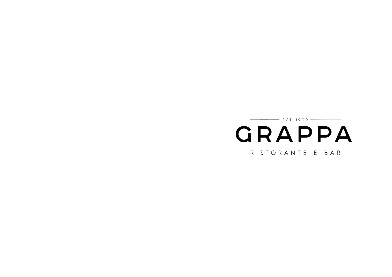GRAPPA RISTORANTE E BAR